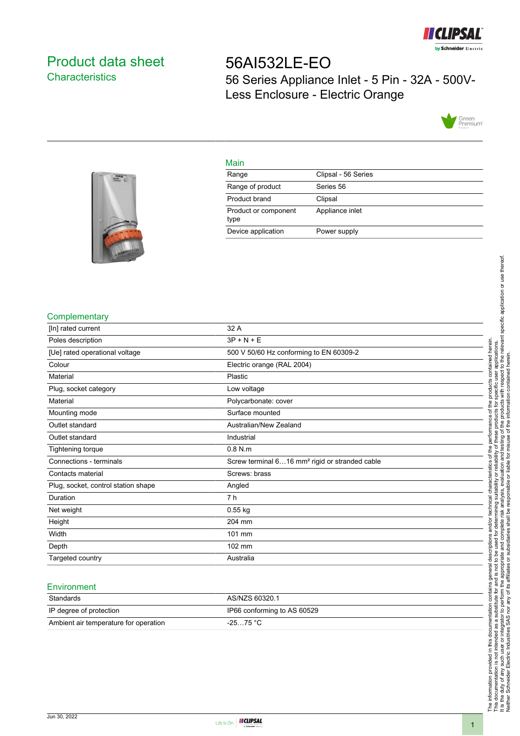

# <span id="page-0-0"></span>Product data sheet **Characteristics**

# 56AI532LE-EO 56 Series Appliance Inlet - 5 Pin - 32A - 500V-Less Enclosure - Electric Orange





## Main

| Range                        | Clipsal - 56 Series |
|------------------------------|---------------------|
| Range of product             | Series 56           |
| Product brand                | Clipsal             |
| Product or component<br>type | Appliance inlet     |
| Device application           | Power supply        |

## **Complementary**

| [In] rated current                  | 32 A                                                       |
|-------------------------------------|------------------------------------------------------------|
| Poles description                   | $3P + N + E$                                               |
| [Ue] rated operational voltage      | 500 V 50/60 Hz conforming to EN 60309-2                    |
| Colour                              | Electric orange (RAL 2004)                                 |
| Material                            | Plastic                                                    |
| Plug, socket category               | Low voltage                                                |
| Material                            | Polycarbonate: cover                                       |
| Mounting mode                       | Surface mounted                                            |
| Outlet standard                     | Australian/New Zealand                                     |
| Outlet standard                     | Industrial                                                 |
| Tightening torque                   | $0.8$ N.m                                                  |
| Connections - terminals             | Screw terminal 616 mm <sup>2</sup> rigid or stranded cable |
| Contacts material                   | Screws: brass                                              |
| Plug, socket, control station shape | Angled                                                     |
| Duration                            | 7 h                                                        |
| Net weight                          | $0.55$ kg                                                  |
| Height                              | 204 mm                                                     |
| Width                               | 101 mm                                                     |
| Depth                               | 102 mm                                                     |
| Targeted country                    | Australia                                                  |

#### **Environment**

| Standards                             | AS/NZS 60320.1              |
|---------------------------------------|-----------------------------|
| IP degree of protection               | IP66 conforming to AS 60529 |
| Ambient air temperature for operation | -25…75 °C                   |